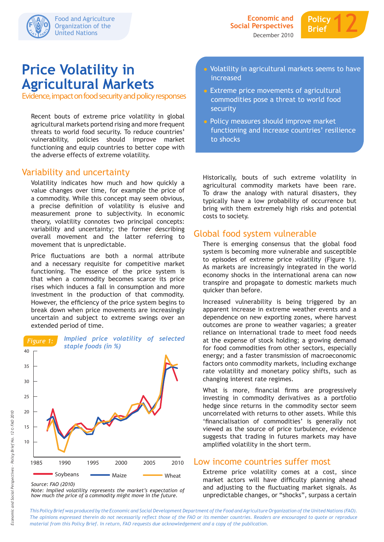

# **Price Volatility in Agricultural Markets**

Evidence, impact on food security and policy responses

Recent bouts of extreme price volatility in global agricultural markets portend rising and more frequent threats to world food security. To reduce countries' vulnerability, policies should improve market functioning and equip countries to better cope with the adverse effects of extreme volatility.

## Variability and uncertainty

Volatility indicates how much and how quickly a value changes over time, for example the price of a commodity. While this concept may seem obvious, a precise definition of volatility is elusive and measurement prone to subjectivity. In economic theory, volatility connotes two principal concepts: variability and uncertainty; the former describing overall movement and the latter referring to movement that is unpredictable.

Price fluctuations are both a normal attribute and a necessary requisite for competitive market functioning. The essence of the price system is that when a commodity becomes scarce its price rises which induces a fall in consumption and more investment in the production of that commodity. However, the efficiency of the price system begins to break down when price movements are increasingly uncertain and subject to extreme swings over an extended period of time.



*Note: Implied volatility represents the market's expectation of how much the price of a commodity might move in the future.*

- Volatility in agricultural markets seems to have increased
- Extreme price movements of agricultural commodities pose a threat to world food security
- Policy measures should improve market functioning and increase countries' resilience to shocks

Historically, bouts of such extreme volatility in agricultural commodity markets have been rare. To draw the analogy with natural disasters, they typically have a low probability of occurrence but bring with them extremely high risks and potential costs to society.

## Global food system vulnerable

There is emerging consensus that the global food system is becoming more vulnerable and susceptible to episodes of extreme price volatility (Figure 1). As markets are increasingly integrated in the world economy shocks in the international arena can now transpire and propagate to domestic markets much quicker than before.

Increased vulnerability is being triggered by an apparent increase in extreme weather events and a dependence on new exporting zones, where harvest outcomes are prone to weather vagaries; a greater reliance on international trade to meet food needs at the expense of stock holding; a growing demand for food commodities from other sectors, especially energy; and a faster transmission of macroeconomic factors onto commodity markets, including exchange rate volatility and monetary policy shifts, such as changing interest rate regimes.

What is more, financial firms are progressively investing in commodity derivatives as a portfolio hedge since returns in the commodity sector seem uncorrelated with returns to other assets. While this 'financialisation of commodities' is generally not viewed as the source of price turbulence, evidence suggests that trading in futures markets may have amplified volatility in the short term.

### Low income countries suffer most

Extreme price volatility comes at a cost, since market actors will have difficulty planning ahead and adjusting to the fluctuating market signals. As unpredictable changes, or "shocks", surpass a certain

*This Policy Brief was produced by the Economic and Social Development Department of the Food and Agriculture Organization of the United Nations (FAO). The opinions expressed therein do not necessarily reflect those of the FAO or its member countries. Readers are encouraged to quote or reproduce material from this Policy Brief. In return, FAO requests due acknowledgement and a copy of the publication.*